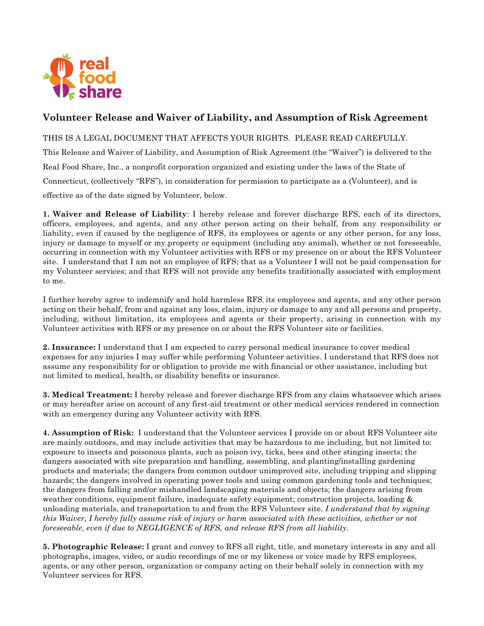

## **Volunteer Release and Waiver of Liability, and Assumption of Risk Agreement**

## THIS IS A LEGAL DOCUMENT THAT AFFECTS YOUR RIGHTS. PLEASE READ CAREFULLY.

This Release and Waiver of Liability, and Assumption of Risk Agreement (the "Waiver") is delivered to the Real Food Share, Inc., a nonprofit corporation organized and existing under the laws of the State of Connecticut, (collectively "RFS"), in consideration for permission to participate as a (Volunteer), and is effective as of the date signed by Volunteer, below.

**1. Waiver and Release of Liability**: I hereby release and forever discharge RFS, each of its directors, officers, employees, and agents, and any other person acting on their behalf, from any responsibility or liability, even if caused by the negligence of RFS, its employees or agents or any other person, for any loss, injury or damage to myself or my property or equipment (including any animal), whether or not foreseeable, occurring in connection with my Volunteer activities with RFS or my presence on or about the RFS Volunteer site. I understand that I am not an employee of RFS; that as a Volunteer I will not be paid compensation for my Volunteer services; and that RFS will not provide any benefits traditionally associated with employment to me.

I further hereby agree to indemnify and hold harmless RFS, its employees and agents, and any other person acting on their behalf, from and against any loss, claim, injury or damage to any and all persons and property, including, without limitation, its employees and agents or their property, arising in connection with my Volunteer activities with RFS or my presence on or about the RFS Volunteer site or facilities.

**2. Insurance:** I understand that I am expected to carry personal medical insurance to cover medical expenses for any injuries I may suffer while performing Volunteer activities. I understand that RFS does not assume any responsibility for or obligation to provide me with financial or other assistance, including but not limited to medical, health, or disability benefits or insurance.

**3. Medical Treatment:** I hereby release and forever discharge RFS from any claim whatsoever which arises or may hereafter arise on account of any first-aid treatment or other medical services rendered in connection with an emergency during any Volunteer activity with RFS.

**4. Assumption of Risk:** I understand that the Volunteer services I provide on or about RFS Volunteer site are mainly outdoors, and may include activities that may be hazardous to me including, but not limited to: exposure to insects and poisonous plants, such as poison ivy, ticks, bees and other stinging insects; the dangers associated with site preparation and handling, assembling, and planting/installing gardening products and materials; the dangers from common outdoor unimproved site, including tripping and slipping hazards; the dangers involved in operating power tools and using common gardening tools and techniques; the dangers from falling and/or mishandled landscaping materials and objects; the dangers arising from weather conditions, equipment failure, inadequate safety equipment; construction projects, loading & unloading materials, and transportation to and from the RFS Volunteer site. *I understand that by signing this Waiver, I hereby fully assume risk of injury or harm associated with these activities, whether or not foreseeable, even if due to NEGLIGENCE of RFS, and release RFS from all liability*.

**5. Photographic Release:** I grant and convey to RFS all right, title, and monetary interests in any and all photographs, images, video, or audio recordings of me or my likeness or voice made by RFS employees, agents, or any other person, organization or company acting on their behalf solely in connection with my Volunteer services for RFS.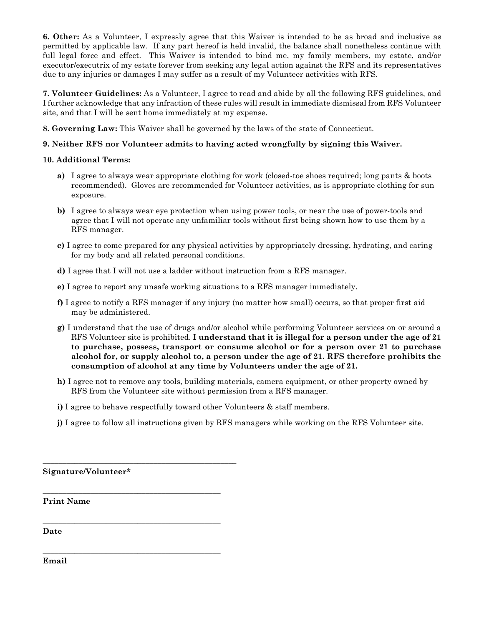**6. Other:** As a Volunteer, I expressly agree that this Waiver is intended to be as broad and inclusive as permitted by applicable law. If any part hereof is held invalid, the balance shall nonetheless continue with full legal force and effect. This Waiver is intended to bind me, my family members, my estate, and/or executor/executrix of my estate forever from seeking any legal action against the RFS and its representatives due to any injuries or damages I may suffer as a result of my Volunteer activities with RFS.

**7. Volunteer Guidelines:** As a Volunteer, I agree to read and abide by all the following RFS guidelines, and I further acknowledge that any infraction of these rules will result in immediate dismissal from RFS Volunteer site, and that I will be sent home immediately at my expense.

**8. Governing Law:** This Waiver shall be governed by the laws of the state of Connecticut.

## **9. Neither RFS nor Volunteer admits to having acted wrongfully by signing this Waiver.**

## **10. Additional Terms:**

- **a)** I agree to always wear appropriate clothing for work (closed-toe shoes required; long pants & boots recommended). Gloves are recommended for Volunteer activities, as is appropriate clothing for sun exposure.
- **b)** I agree to always wear eye protection when using power tools, or near the use of power-tools and agree that I will not operate any unfamiliar tools without first being shown how to use them by a RFS manager.
- **c)** I agree to come prepared for any physical activities by appropriately dressing, hydrating, and caring for my body and all related personal conditions.
- **d)** I agree that I will not use a ladder without instruction from a RFS manager.
- **e)** I agree to report any unsafe working situations to a RFS manager immediately.
- **f)** I agree to notify a RFS manager if any injury (no matter how small) occurs, so that proper first aid may be administered.
- **g)** I understand that the use of drugs and/or alcohol while performing Volunteer services on or around a RFS Volunteer site is prohibited. **I understand that it is illegal for a person under the age of 21 to purchase, possess, transport or consume alcohol or for a person over 21 to purchase alcohol for, or supply alcohol to, a person under the age of 21. RFS therefore prohibits the consumption of alcohol at any time by Volunteers under the age of 21.**
- **h)** I agree not to remove any tools, building materials, camera equipment, or other property owned by RFS from the Volunteer site without permission from a RFS manager.
- **i)** I agree to behave respectfully toward other Volunteers & staff members.
- **j)** I agree to follow all instructions given by RFS managers while working on the RFS Volunteer site.

**Signature/Volunteer\***

\_\_\_\_\_\_\_\_\_\_\_\_\_\_\_\_\_\_\_\_\_\_\_\_\_\_\_\_\_\_\_\_\_\_\_\_\_\_\_\_\_\_\_\_\_\_\_\_\_

\_\_\_\_\_\_\_\_\_\_\_\_\_\_\_\_\_\_\_\_\_\_\_\_\_\_\_\_\_\_\_\_\_\_\_\_\_\_\_\_\_\_\_\_\_

\_\_\_\_\_\_\_\_\_\_\_\_\_\_\_\_\_\_\_\_\_\_\_\_\_\_\_\_\_\_\_\_\_\_\_\_\_\_\_\_\_\_\_\_\_

\_\_\_\_\_\_\_\_\_\_\_\_\_\_\_\_\_\_\_\_\_\_\_\_\_\_\_\_\_\_\_\_\_\_\_\_\_\_\_\_\_\_\_\_\_

**Print Name**

**Date**

**Email**